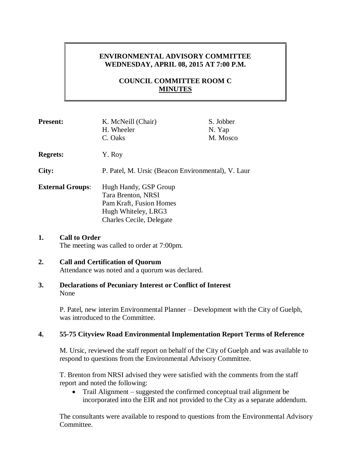# **ENVIRONMENTAL ADVISORY COMMITTEE WEDNESDAY, APRIL 08, 2015 AT 7:00 P.M.**

# **COUNCIL COMMITTEE ROOM C MINUTES**

| <b>Present:</b>         | K. McNeill (Chair)                                                                                                        | S. Jobber |
|-------------------------|---------------------------------------------------------------------------------------------------------------------------|-----------|
|                         | H. Wheeler                                                                                                                | N. Yap    |
|                         | C. Oaks                                                                                                                   | M. Mosco  |
| <b>Regrets:</b>         | Y. Roy                                                                                                                    |           |
| City:                   | P. Patel, M. Ursic (Beacon Environmental), V. Laur                                                                        |           |
| <b>External Groups:</b> | Hugh Handy, GSP Group<br>Tara Brenton, NRSI<br>Pam Kraft, Fusion Homes<br>Hugh Whiteley, LRG3<br>Charles Cecile, Delegate |           |

**1. Call to Order** The meeting was called to order at 7:00pm.

#### **2. Call and Certification of Quorum** Attendance was noted and a quorum was declared.

**3. Declarations of Pecuniary Interest or Conflict of Interest** None

> P. Patel, new interim Environmental Planner – Development with the City of Guelph, was introduced to the Committee.

# **4. 55-75 Cityview Road Environmental Implementation Report Terms of Reference**

M. Ursic, reviewed the staff report on behalf of the City of Guelph and was available to respond to questions from the Environmental Advisory Committee.

T. Brenton from NRSI advised they were satisfied with the comments from the staff report and noted the following:

• Trail Alignment – suggested the confirmed conceptual trail alignment be incorporated into the EIR and not provided to the City as a separate addendum.

The consultants were available to respond to questions from the Environmental Advisory Committee.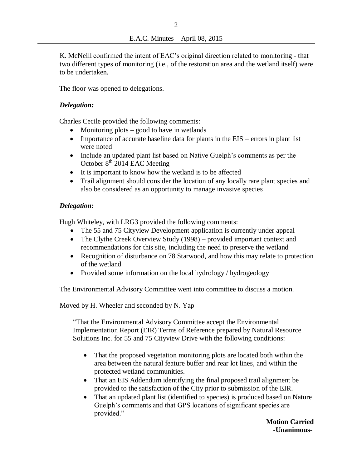K. McNeill confirmed the intent of EAC's original direction related to monitoring - that two different types of monitoring (i.e., of the restoration area and the wetland itself) were to be undertaken.

The floor was opened to delegations.

## *Delegation:*

Charles Cecile provided the following comments:

- Monitoring plots good to have in wetlands
- Importance of accurate baseline data for plants in the EIS errors in plant list were noted
- Include an updated plant list based on Native Guelph's comments as per the October 8<sup>th</sup> 2014 EAC Meeting
- It is important to know how the wetland is to be affected
- Trail alignment should consider the location of any locally rare plant species and also be considered as an opportunity to manage invasive species

### *Delegation:*

Hugh Whiteley, with LRG3 provided the following comments:

- The 55 and 75 Cityview Development application is currently under appeal
- The Clythe Creek Overview Study (1998) provided important context and recommendations for this site, including the need to preserve the wetland
- Recognition of disturbance on 78 Starwood, and how this may relate to protection of the wetland
- Provided some information on the local hydrology / hydrogeology

The Environmental Advisory Committee went into committee to discuss a motion.

Moved by H. Wheeler and seconded by N. Yap

"That the Environmental Advisory Committee accept the Environmental Implementation Report (EIR) Terms of Reference prepared by Natural Resource Solutions Inc. for 55 and 75 Cityview Drive with the following conditions:

- That the proposed vegetation monitoring plots are located both within the area between the natural feature buffer and rear lot lines, and within the protected wetland communities.
- That an EIS Addendum identifying the final proposed trail alignment be provided to the satisfaction of the City prior to submission of the EIR.
- That an updated plant list (identified to species) is produced based on Nature Guelph's comments and that GPS locations of significant species are provided."

 **Motion Carried -Unanimous-**